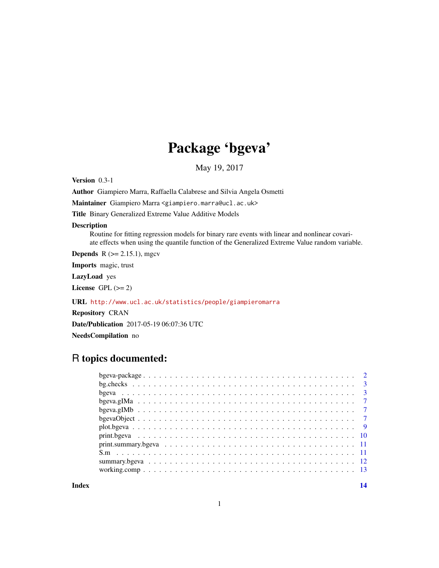# Package 'bgeva'

May 19, 2017

Version 0.3-1

Author Giampiero Marra, Raffaella Calabrese and Silvia Angela Osmetti

Maintainer Giampiero Marra <giampiero.marra@ucl.ac.uk>

Title Binary Generalized Extreme Value Additive Models

#### Description

Routine for fitting regression models for binary rare events with linear and nonlinear covariate effects when using the quantile function of the Generalized Extreme Value random variable.

**Depends**  $R$  ( $>= 2.15.1$ ), mgcv

Imports magic, trust

LazyLoad yes

License GPL  $(>= 2)$ 

URL <http://www.ucl.ac.uk/statistics/people/giampieromarra>

Repository CRAN

Date/Publication 2017-05-19 06:07:36 UTC

NeedsCompilation no

### R topics documented:

| $print. \text{summary} \text{.} \text{1}$ |  |
|-------------------------------------------|--|
|                                           |  |
|                                           |  |
|                                           |  |
|                                           |  |

**Index** 2008 **[14](#page-13-0)**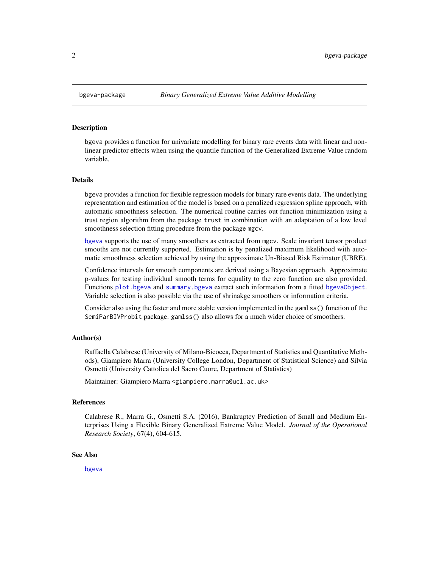<span id="page-1-1"></span><span id="page-1-0"></span>bgeva provides a function for univariate modelling for binary rare events data with linear and nonlinear predictor effects when using the quantile function of the Generalized Extreme Value random variable.

#### Details

bgeva provides a function for flexible regression models for binary rare events data. The underlying representation and estimation of the model is based on a penalized regression spline approach, with automatic smoothness selection. The numerical routine carries out function minimization using a trust region algorithm from the package trust in combination with an adaptation of a low level smoothness selection fitting procedure from the package mgcv.

[bgeva](#page-2-1) supports the use of many smoothers as extracted from mgcv. Scale invariant tensor product smooths are not currently supported. Estimation is by penalized maximum likelihood with automatic smoothness selection achieved by using the approximate Un-Biased Risk Estimator (UBRE).

Confidence intervals for smooth components are derived using a Bayesian approach. Approximate p-values for testing individual smooth terms for equality to the zero function are also provided. Functions [plot.bgeva](#page-8-1) and [summary.bgeva](#page-11-1) extract such information from a fitted [bgevaObject](#page-6-1). Variable selection is also possible via the use of shrinakge smoothers or information criteria.

Consider also using the faster and more stable version implemented in the gamlss() function of the SemiParBIVProbit package. gamlss() also allows for a much wider choice of smoothers.

#### Author(s)

Raffaella Calabrese (University of Milano-Bicocca, Department of Statistics and Quantitative Methods), Giampiero Marra (University College London, Department of Statistical Science) and Silvia Osmetti (University Cattolica del Sacro Cuore, Department of Statistics)

Maintainer: Giampiero Marra <giampiero.marra@ucl.ac.uk>

#### References

Calabrese R., Marra G., Osmetti S.A. (2016), Bankruptcy Prediction of Small and Medium Enterprises Using a Flexible Binary Generalized Extreme Value Model. *Journal of the Operational Research Society*, 67(4), 604-615.

#### See Also

[bgeva](#page-2-1)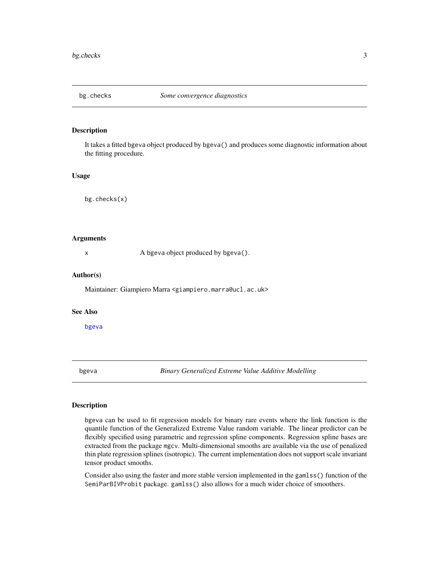<span id="page-2-0"></span>

It takes a fitted bgeva object produced by bgeva() and produces some diagnostic information about the fitting procedure.

#### Usage

bg.checks(x)

#### Arguments

x A bgeva object produced by bgeva().

#### Author(s)

Maintainer: Giampiero Marra <giampiero.marra@ucl.ac.uk>

#### See Also

[bgeva](#page-2-1)

<span id="page-2-1"></span>bgeva *Binary Generalized Extreme Value Additive Modelling*

#### Description

bgeva can be used to fit regression models for binary rare events where the link function is the quantile function of the Generalized Extreme Value random variable. The linear predictor can be flexibly specified using parametric and regression spline components. Regression spline bases are extracted from the package mgcv. Multi-dimensional smooths are available via the use of penalized thin plate regression splines (isotropic). The current implementation does not support scale invariant tensor product smooths.

Consider also using the faster and more stable version implemented in the gamlss() function of the SemiParBIVProbit package. gamlss() also allows for a much wider choice of smoothers.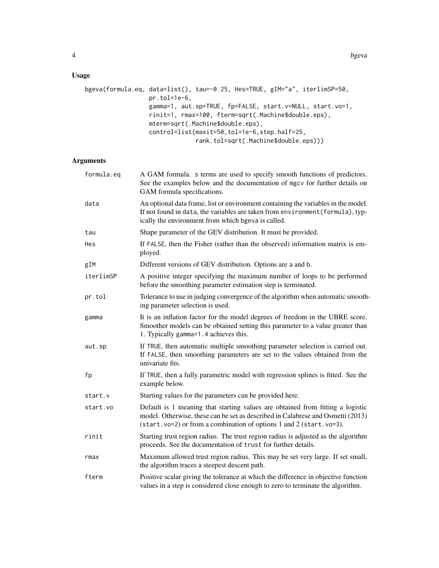### Usage

```
bgeva(formula.eq, data=list(), tau=-0.25, Hes=TRUE, gIM="a", iterlimSP=50,
                  pr.tol=1e-6,
                  gamma=1, aut.sp=TRUE, fp=FALSE, start.v=NULL, start.vo=1,
                  rinit=1, rmax=100, fterm=sqrt(.Machine$double.eps),
                  mterm=sqrt(.Machine$double.eps),
                  control=list(maxit=50,tol=1e-6,step.half=25,
                               rank.tol=sqrt(.Machine$double.eps)))
```
#### Arguments

| formula.eq | A GAM formula. s terms are used to specify smooth functions of predictors.<br>See the examples below and the documentation of mgcv for further details on<br>GAM formula specifications.                                                  |
|------------|-------------------------------------------------------------------------------------------------------------------------------------------------------------------------------------------------------------------------------------------|
| data       | An optional data frame, list or environment containing the variables in the model.<br>If not found in data, the variables are taken from environment (formula), typ-<br>ically the environment from which bgeva is called.                |
| tau        | Shape parameter of the GEV distribution. It must be provided.                                                                                                                                                                             |
| Hes        | If FALSE, then the Fisher (rather than the observed) information matrix is em-<br>ployed.                                                                                                                                                 |
| gIM        | Different versions of GEV distribution. Options are a and b.                                                                                                                                                                              |
| iterlimSP  | A positive integer specifying the maximum number of loops to be performed<br>before the smoothing parameter estimation step is terminated.                                                                                                |
| pr.tol     | Tolerance to use in judging convergence of the algorithm when automatic smooth-<br>ing parameter selection is used.                                                                                                                       |
| gamma      | It is an inflation factor for the model degrees of freedom in the UBRE score.<br>Smoother models can be obtained setting this parameter to a value greater than<br>1. Typically gamma=1.4 achieves this.                                  |
| aut.sp     | If TRUE, then automatic multiple smoothing parameter selection is carried out.<br>If FALSE, then smoothing parameters are set to the values obtained from the<br>univariate fits.                                                         |
| fp         | If TRUE, then a fully parametric model with regression splines is fitted. See the<br>example below.                                                                                                                                       |
| start.v    | Starting values for the parameters can be provided here.                                                                                                                                                                                  |
| start.vo   | Default is 1 meaning that starting values are obtained from fitting a logistic<br>model. Otherwise, these can be set as described in Calabrese and Osmetti (2013)<br>$(stat.vo=2)$ or from a combination of options 1 and 2 (start.vo=3). |
| rinit      | Starting trust region radius. The trust region radius is adjusted as the algorithm<br>proceeds. See the documentation of trust for further details.                                                                                       |
| rmax       | Maximum allowed trust region radius. This may be set very large. If set small,<br>the algorithm traces a steepest descent path.                                                                                                           |
| fterm      | Positive scalar giving the tolerance at which the difference in objective function<br>values in a step is considered close enough to zero to terminate the algorithm.                                                                     |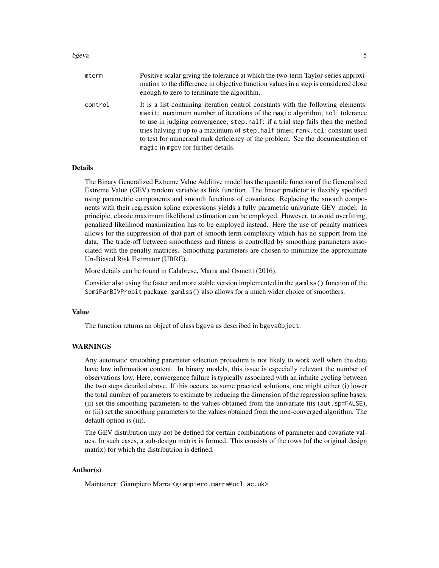#### bgeva 5

| mterm   | Positive scalar giving the tolerance at which the two-term Taylor-series approxi-<br>mation to the difference in objective function values in a step is considered close<br>enough to zero to terminate the algorithm.                                                                                                                                                                                                                                       |
|---------|--------------------------------------------------------------------------------------------------------------------------------------------------------------------------------------------------------------------------------------------------------------------------------------------------------------------------------------------------------------------------------------------------------------------------------------------------------------|
| control | It is a list containing iteration control constants with the following elements:<br>maxit: maximum number of iterations of the magic algorithm; tol: tolerance<br>to use in judging convergence; step, half: if a trial step fails then the method<br>tries halving it up to a maximum of step. half times; rank. tol: constant used<br>to test for numerical rank deficiency of the problem. See the documentation of<br>magic in mgcv for further details. |

#### Details

The Binary Generalized Extreme Value Additive model has the quantile function of the Generalized Extreme Value (GEV) random variable as link function. The linear predictor is flexibly specified using parametric components and smooth functions of covariates. Replacing the smooth components with their regression spline expressions yields a fully parametric univariate GEV model. In principle, classic maximum likelihood estimation can be employed. However, to avoid overfitting, penalized likelihood maximization has to be employed instead. Here the use of penalty matrices allows for the suppression of that part of smooth term complexity which has no support from the data. The trade-off between smoothness and fitness is controlled by smoothing parameters associated with the penalty matrices. Smoothing parameters are chosen to minimize the approximate Un-Biased Risk Estimator (UBRE).

More details can be found in Calabrese, Marra and Osmetti (2016).

Consider also using the faster and more stable version implemented in the gamlss() function of the SemiParBIVProbit package. gamlss() also allows for a much wider choice of smoothers.

#### Value

The function returns an object of class bgeva as described in bgevaObject.

#### WARNINGS

Any automatic smoothing parameter selection procedure is not likely to work well when the data have low information content. In binary models, this issue is especially relevant the number of observations low. Here, convergence failure is typically associated with an infinite cycling between the two steps detailed above. If this occurs, as some practical solutions, one might either (i) lower the total number of parameters to estimate by reducing the dimension of the regression spline bases, (ii) set the smoothing parameters to the values obtained from the univariate fits (aut.sp=FALSE), or (iii) set the smoothing parameters to the values obtained from the non-converged algorithm. The default option is (iii).

The GEV distribution may not be defined for certain combinations of parameter and covariate values. In such cases, a sub-design matrix is formed. This consists of the rows (of the original design matrix) for which the distributrion is defined.

#### Author(s)

Maintainer: Giampiero Marra <giampiero.marra@ucl.ac.uk>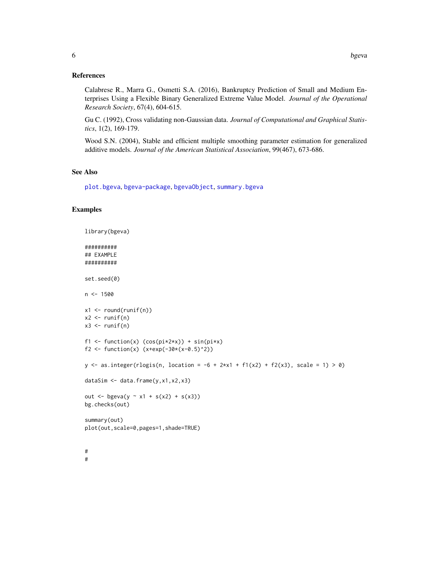#### <span id="page-5-0"></span>References

Calabrese R., Marra G., Osmetti S.A. (2016), Bankruptcy Prediction of Small and Medium Enterprises Using a Flexible Binary Generalized Extreme Value Model. *Journal of the Operational Research Society*, 67(4), 604-615.

Gu C. (1992), Cross validating non-Gaussian data. *Journal of Computational and Graphical Statistics*, 1(2), 169-179.

Wood S.N. (2004), Stable and efficient multiple smoothing parameter estimation for generalized additive models. *Journal of the American Statistical Association*, 99(467), 673-686.

#### See Also

[plot.bgeva](#page-8-1), [bgeva-package](#page-1-1), [bgevaObject](#page-6-1), [summary.bgeva](#page-11-1)

#### Examples

```
library(bgeva)
##########
## EXAMPLE
##########
set.seed(0)
n < -1500x1 \leftarrow \text{round}(\text{runif(n)})x2 \leftarrow runif(n)x3 \leftarrow runif(n)f1 <- function(x) (cos(pi*2*x)) + sin(pi*x)
f2 <- function(x) (x+exp(-30*(x-0.5)^2))
y \le - as.integer(rlogis(n, location = -6 + 2*x1 + f1(x2) + f2(x3), scale = 1) > 0)
dataSim <- data.frame(y,x1,x2,x3)
out <- bgeva(y ~ x1 + s(x2) + s(x3))
bg.checks(out)
summary(out)
plot(out,scale=0,pages=1,shade=TRUE)
#
#
```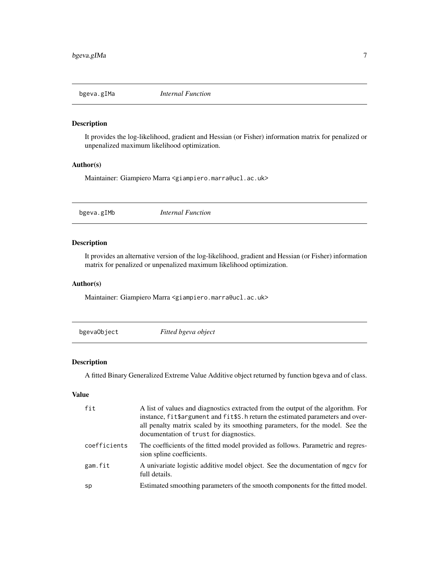<span id="page-6-0"></span>

It provides the log-likelihood, gradient and Hessian (or Fisher) information matrix for penalized or unpenalized maximum likelihood optimization.

#### Author(s)

Maintainer: Giampiero Marra <giampiero.marra@ucl.ac.uk>

bgeva.gIMb *Internal Function*

#### Description

It provides an alternative version of the log-likelihood, gradient and Hessian (or Fisher) information matrix for penalized or unpenalized maximum likelihood optimization.

#### Author(s)

Maintainer: Giampiero Marra <giampiero.marra@ucl.ac.uk>

<span id="page-6-1"></span>bgevaObject *Fitted bgeva object*

## Description

A fitted Binary Generalized Extreme Value Additive object returned by function bgeva and of class.

#### Value

| fit          | A list of values and diagnostics extracted from the output of the algorithm. For<br>instance, fit\$argument and fit\$S.h return the estimated parameters and over-<br>all penalty matrix scaled by its smoothing parameters, for the model. See the<br>documentation of trust for diagnostics. |
|--------------|------------------------------------------------------------------------------------------------------------------------------------------------------------------------------------------------------------------------------------------------------------------------------------------------|
| coefficients | The coefficients of the fitted model provided as follows. Parametric and regres-<br>sion spline coefficients.                                                                                                                                                                                  |
| gam.fit      | A univariate logistic additive model object. See the documentation of mgcv for<br>full details.                                                                                                                                                                                                |
| sp           | Estimated smoothing parameters of the smooth components for the fitted model.                                                                                                                                                                                                                  |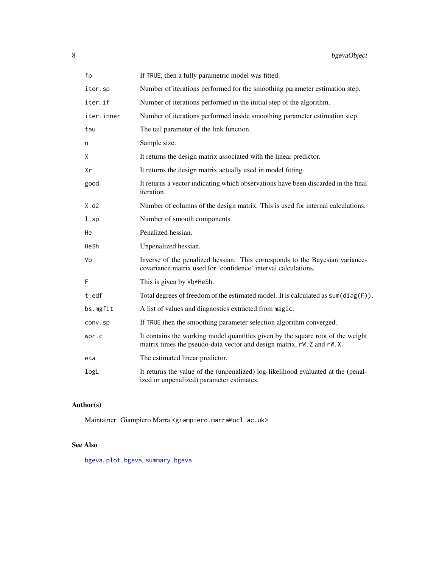<span id="page-7-0"></span>

| fp         | If TRUE, then a fully parametric model was fitted.                                                                                                         |
|------------|------------------------------------------------------------------------------------------------------------------------------------------------------------|
| iter.sp    | Number of iterations performed for the smoothing parameter estimation step.                                                                                |
| iter.if    | Number of iterations performed in the initial step of the algorithm.                                                                                       |
| iter.inner | Number of iterations performed inside smoothing parameter estimation step.                                                                                 |
| tau        | The tail parameter of the link function.                                                                                                                   |
| n          | Sample size.                                                                                                                                               |
| χ          | It returns the design matrix associated with the linear predictor.                                                                                         |
| Xr         | It returns the design matrix actually used in model fitting.                                                                                               |
| good       | It returns a vector indicating which observations have been discarded in the final<br>iteration.                                                           |
| X.d2       | Number of columns of the design matrix. This is used for internal calculations.                                                                            |
| $l$ .sp    | Number of smooth components.                                                                                                                               |
| He         | Penalized hessian.                                                                                                                                         |
| HeSh       | Unpenalized hessian.                                                                                                                                       |
| Vb         | Inverse of the penalized hessian. This corresponds to the Bayesian variance-<br>covariance matrix used for 'confidence' interval calculations.             |
| F          | This is given by Vb*HeSh.                                                                                                                                  |
| t.edf      | Total degrees of freedom of the estimated model. It is calculated as $sum(diag(F))$ .                                                                      |
| bs.mgfit   | A list of values and diagnostics extracted from magic.                                                                                                     |
| conv.sp    | If TRUE then the smoothing parameter selection algorithm converged.                                                                                        |
| wor.c      | It contains the working model quantities given by the square root of the weight<br>matrix times the pseudo-data vector and design matrix, rW. Z and rW. X. |
| eta        | The estimated linear predictor.                                                                                                                            |
| logL       | It returns the value of the (unpenalized) log-likelihood evaluated at the (penal-<br>ized or unpenalized) parameter estimates.                             |

#### Author(s)

Maintainer: Giampiero Marra <giampiero.marra@ucl.ac.uk>

#### See Also

[bgeva](#page-2-1), [plot.bgeva](#page-8-1), [summary.bgeva](#page-11-1)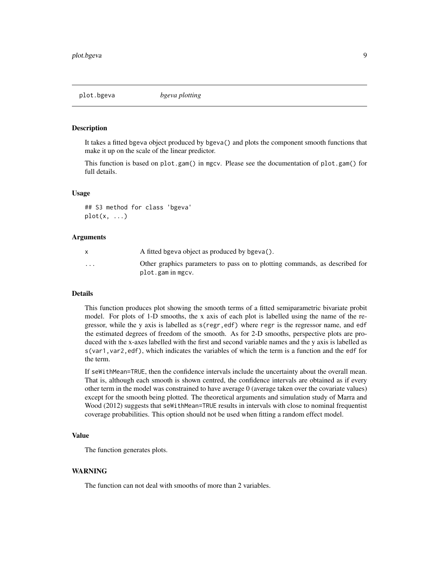<span id="page-8-1"></span><span id="page-8-0"></span>

It takes a fitted bgeva object produced by bgeva() and plots the component smooth functions that make it up on the scale of the linear predictor.

This function is based on plot.gam() in mgcv. Please see the documentation of plot.gam() for full details.

#### Usage

## S3 method for class 'bgeva'  $plot(x, \ldots)$ 

#### Arguments

|                         | A fitted bgeva object as produced by bgeva().                               |
|-------------------------|-----------------------------------------------------------------------------|
| $\cdot$ $\cdot$ $\cdot$ | Other graphics parameters to pass on to plotting commands, as described for |
|                         | plot.gam in mgcv.                                                           |

#### Details

This function produces plot showing the smooth terms of a fitted semiparametric bivariate probit model. For plots of 1-D smooths, the x axis of each plot is labelled using the name of the regressor, while the y axis is labelled as s(regr,edf) where regr is the regressor name, and edf the estimated degrees of freedom of the smooth. As for 2-D smooths, perspective plots are produced with the x-axes labelled with the first and second variable names and the y axis is labelled as s(var1,var2,edf), which indicates the variables of which the term is a function and the edf for the term.

If seWithMean=TRUE, then the confidence intervals include the uncertainty about the overall mean. That is, although each smooth is shown centred, the confidence intervals are obtained as if every other term in the model was constrained to have average 0 (average taken over the covariate values) except for the smooth being plotted. The theoretical arguments and simulation study of Marra and Wood (2012) suggests that seWithMean=TRUE results in intervals with close to nominal frequentist coverage probabilities. This option should not be used when fitting a random effect model.

#### Value

The function generates plots.

#### WARNING

The function can not deal with smooths of more than 2 variables.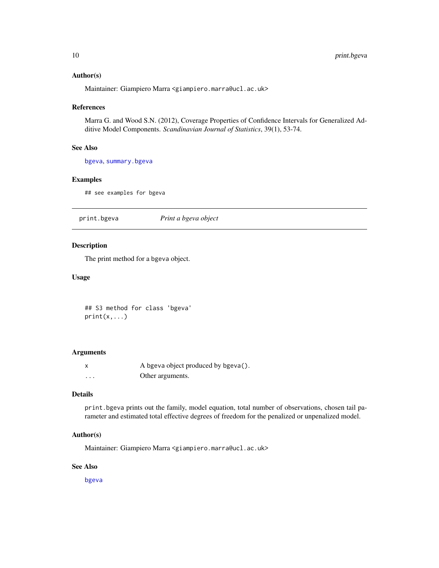#### <span id="page-9-0"></span>Author(s)

Maintainer: Giampiero Marra <giampiero.marra@ucl.ac.uk>

#### References

Marra G. and Wood S.N. (2012), Coverage Properties of Confidence Intervals for Generalized Additive Model Components. *Scandinavian Journal of Statistics*, 39(1), 53-74.

#### See Also

[bgeva](#page-2-1), [summary.bgeva](#page-11-1)

#### Examples

## see examples for bgeva

print.bgeva *Print a bgeva object*

#### Description

The print method for a bgeva object.

#### Usage

## S3 method for class 'bgeva'  $print(x,...)$ 

#### Arguments

| X | A bgeva object produced by bgeva(). |
|---|-------------------------------------|
| . | Other arguments.                    |

#### Details

print.bgeva prints out the family, model equation, total number of observations, chosen tail parameter and estimated total effective degrees of freedom for the penalized or unpenalized model.

#### Author(s)

Maintainer: Giampiero Marra <giampiero.marra@ucl.ac.uk>

#### See Also

[bgeva](#page-2-1)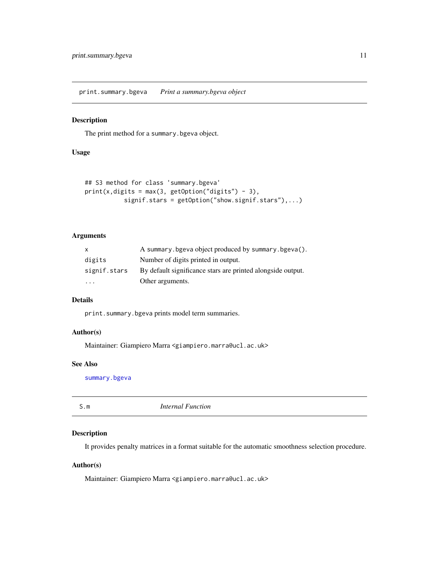<span id="page-10-0"></span>print.summary.bgeva *Print a summary.bgeva object*

#### Description

The print method for a summary.bgeva object.

#### Usage

```
## S3 method for class 'summary.bgeva'
print(x, digits = max(3, getOption("digits") - 3),signif.stars = getOption("show.signif.stars"),...)
```
#### Arguments

| $\mathsf{x}$ | A summary.bgeva object produced by summary.bgeva().         |
|--------------|-------------------------------------------------------------|
| digits       | Number of digits printed in output.                         |
| signif.stars | By default significance stars are printed alongside output. |
| $\cdot$      | Other arguments.                                            |

### Details

print.summary.bgeva prints model term summaries.

#### Author(s)

Maintainer: Giampiero Marra <giampiero.marra@ucl.ac.uk>

#### See Also

[summary.bgeva](#page-11-1)

| S.m | <i>Internal Function</i> |
|-----|--------------------------|
|     |                          |

#### Description

It provides penalty matrices in a format suitable for the automatic smoothness selection procedure.

#### Author(s)

Maintainer: Giampiero Marra <giampiero.marra@ucl.ac.uk>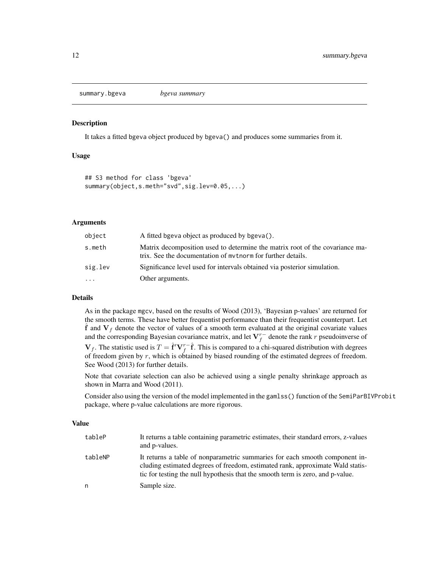<span id="page-11-1"></span><span id="page-11-0"></span>summary.bgeva *bgeva summary*

#### Description

It takes a fitted bgeva object produced by bgeva() and produces some summaries from it.

#### Usage

```
## S3 method for class 'bgeva'
summary(object,s.meth="svd",sig.lev=0.05,...)
```
#### Arguments

| object   | A fitted bgeva object as produced by bgeva().                                                                                               |
|----------|---------------------------------------------------------------------------------------------------------------------------------------------|
| s.meth   | Matrix decomposition used to determine the matrix root of the covariance ma-<br>trix. See the documentation of mythorm for further details. |
| sig.lev  | Significance level used for intervals obtained via posterior simulation.                                                                    |
| $\cdots$ | Other arguments.                                                                                                                            |

#### Details

As in the package mgcv, based on the results of Wood (2013), 'Bayesian p-values' are returned for the smooth terms. These have better frequentist performance than their frequentist counterpart. Let  $\hat{f}$  and  $V_f$  denote the vector of values of a smooth term evaluated at the original covariate values and the corresponding Bayesian covariance matrix, and let  $V_f^{r-}$  denote the rank r pseudoinverse of

 $V_f$ . The statistic used is  $T = \hat{f}' V_f^{\tau -} \hat{f}$ . This is compared to a chi-squared distribution with degrees of freedom given by  $r$ , which is obtained by biased rounding of the estimated degrees of freedom. See Wood (2013) for further details.

Note that covariate selection can also be achieved using a single penalty shrinkage approach as shown in Marra and Wood (2011).

Consider also using the version of the model implemented in the gamlss() function of the SemiParBIVProbit package, where p-value calculations are more rigorous.

#### Value

| tableP  | It returns a table containing parametric estimates, their standard errors, z-values<br>and p-values.                                                                                                                                            |
|---------|-------------------------------------------------------------------------------------------------------------------------------------------------------------------------------------------------------------------------------------------------|
| tableNP | It returns a table of nonparametric summaries for each smooth component in-<br>cluding estimated degrees of freedom, estimated rank, approximate Wald statis-<br>tic for testing the null hypothesis that the smooth term is zero, and p-value. |
| n       | Sample size.                                                                                                                                                                                                                                    |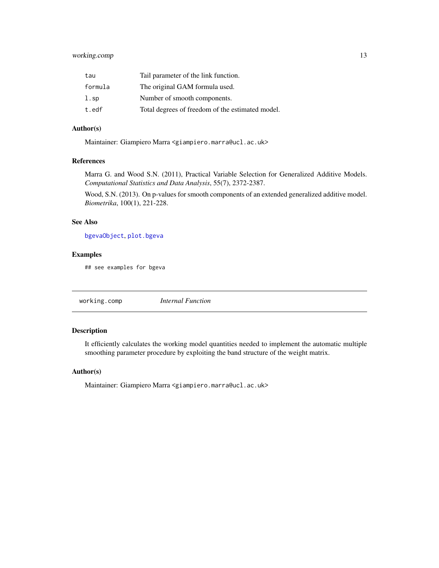#### <span id="page-12-0"></span>working.comp 13

| tau           | Tail parameter of the link function.             |
|---------------|--------------------------------------------------|
| formula       | The original GAM formula used.                   |
| $1.\text{sp}$ | Number of smooth components.                     |
| t.edf         | Total degrees of freedom of the estimated model. |

#### Author(s)

Maintainer: Giampiero Marra <giampiero.marra@ucl.ac.uk>

#### References

Marra G. and Wood S.N. (2011), Practical Variable Selection for Generalized Additive Models. *Computational Statistics and Data Analysis*, 55(7), 2372-2387.

Wood, S.N. (2013). On p-values for smooth components of an extended generalized additive model. *Biometrika*, 100(1), 221-228.

#### See Also

[bgevaObject](#page-6-1), [plot.bgeva](#page-8-1)

#### Examples

## see examples for bgeva

working.comp *Internal Function*

#### Description

It efficiently calculates the working model quantities needed to implement the automatic multiple smoothing parameter procedure by exploiting the band structure of the weight matrix.

#### Author(s)

Maintainer: Giampiero Marra <giampiero.marra@ucl.ac.uk>